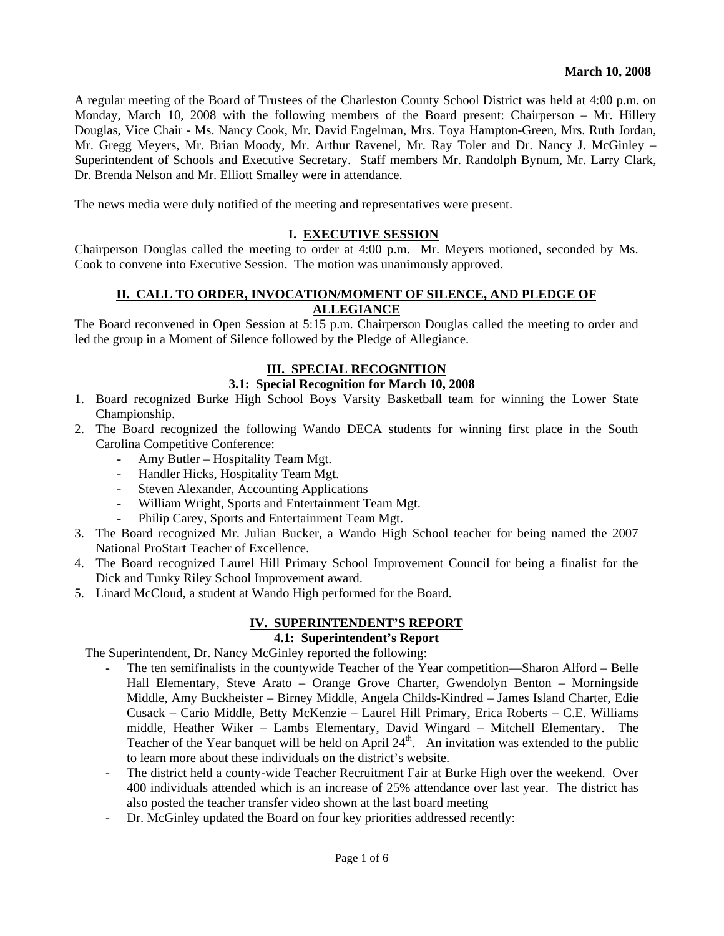A regular meeting of the Board of Trustees of the Charleston County School District was held at 4:00 p.m. on Monday, March 10, 2008 with the following members of the Board present: Chairperson – Mr. Hillery Douglas, Vice Chair - Ms. Nancy Cook, Mr. David Engelman, Mrs. Toya Hampton-Green, Mrs. Ruth Jordan, Mr. Gregg Meyers, Mr. Brian Moody, Mr. Arthur Ravenel, Mr. Ray Toler and Dr. Nancy J. McGinley – Superintendent of Schools and Executive Secretary. Staff members Mr. Randolph Bynum, Mr. Larry Clark, Dr. Brenda Nelson and Mr. Elliott Smalley were in attendance.

The news media were duly notified of the meeting and representatives were present.

#### **I. EXECUTIVE SESSION**

Chairperson Douglas called the meeting to order at 4:00 p.m. Mr. Meyers motioned, seconded by Ms. Cook to convene into Executive Session. The motion was unanimously approved.

### **II. CALL TO ORDER, INVOCATION/MOMENT OF SILENCE, AND PLEDGE OF ALLEGIANCE**

The Board reconvened in Open Session at 5:15 p.m. Chairperson Douglas called the meeting to order and led the group in a Moment of Silence followed by the Pledge of Allegiance.

#### **III. SPECIAL RECOGNITION**

#### **3.1: Special Recognition for March 10, 2008**

- 1. Board recognized Burke High School Boys Varsity Basketball team for winning the Lower State Championship.
- 2. The Board recognized the following Wando DECA students for winning first place in the South Carolina Competitive Conference:
	- Amy Butler Hospitality Team Mgt.
	- Handler Hicks, Hospitality Team Mgt.
	- Steven Alexander, Accounting Applications
	- William Wright, Sports and Entertainment Team Mgt.
	- Philip Carey, Sports and Entertainment Team Mgt.
- 3. The Board recognized Mr. Julian Bucker, a Wando High School teacher for being named the 2007 National ProStart Teacher of Excellence.
- 4. The Board recognized Laurel Hill Primary School Improvement Council for being a finalist for the Dick and Tunky Riley School Improvement award.
- 5. Linard McCloud, a student at Wando High performed for the Board.

## **IV. SUPERINTENDENT'S REPORT**

## **4.1: Superintendent's Report**

The Superintendent, Dr. Nancy McGinley reported the following:

- The ten semifinalists in the countywide Teacher of the Year competition—Sharon Alford Belle Hall Elementary, Steve Arato – Orange Grove Charter, Gwendolyn Benton – Morningside Middle, Amy Buckheister – Birney Middle, Angela Childs-Kindred – James Island Charter, Edie Cusack – Cario Middle, Betty McKenzie – Laurel Hill Primary, Erica Roberts – C.E. Williams middle, Heather Wiker – Lambs Elementary, David Wingard – Mitchell Elementary. The Teacher of the Year banquet will be held on April  $24<sup>th</sup>$ . An invitation was extended to the public to learn more about these individuals on the district's website.
- The district held a county-wide Teacher Recruitment Fair at Burke High over the weekend. Over 400 individuals attended which is an increase of 25% attendance over last year. The district has also posted the teacher transfer video shown at the last board meeting
- Dr. McGinley updated the Board on four key priorities addressed recently: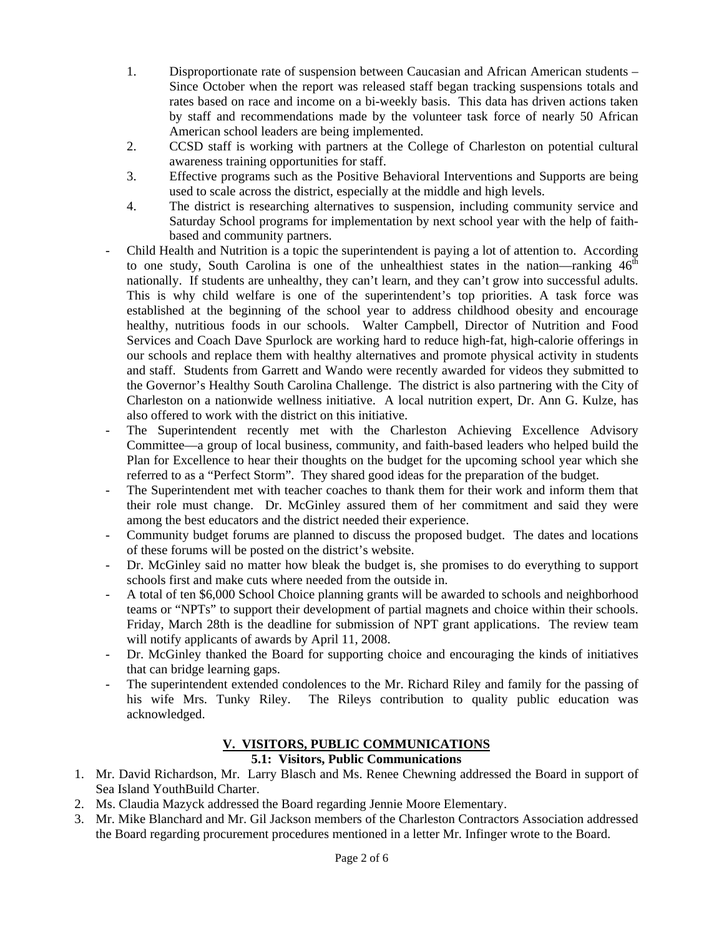- 1. Disproportionate rate of suspension between Caucasian and African American students Since October when the report was released staff began tracking suspensions totals and rates based on race and income on a bi-weekly basis. This data has driven actions taken by staff and recommendations made by the volunteer task force of nearly 50 African American school leaders are being implemented.
- 2. CCSD staff is working with partners at the College of Charleston on potential cultural awareness training opportunities for staff.
- 3. Effective programs such as the Positive Behavioral Interventions and Supports are being used to scale across the district, especially at the middle and high levels.
- 4. The district is researching alternatives to suspension, including community service and Saturday School programs for implementation by next school year with the help of faithbased and community partners.
- Child Health and Nutrition is a topic the superintendent is paying a lot of attention to. According to one study, South Carolina is one of the unhealthiest states in the nation—ranking  $46<sup>th</sup>$ nationally. If students are unhealthy, they can't learn, and they can't grow into successful adults. This is why child welfare is one of the superintendent's top priorities. A task force was established at the beginning of the school year to address childhood obesity and encourage healthy, nutritious foods in our schools. Walter Campbell, Director of Nutrition and Food Services and Coach Dave Spurlock are working hard to reduce high-fat, high-calorie offerings in our schools and replace them with healthy alternatives and promote physical activity in students and staff. Students from Garrett and Wando were recently awarded for videos they submitted to the Governor's Healthy South Carolina Challenge. The district is also partnering with the City of Charleston on a nationwide wellness initiative. A local nutrition expert, Dr. Ann G. Kulze, has also offered to work with the district on this initiative.
- The Superintendent recently met with the Charleston Achieving Excellence Advisory Committee—a group of local business, community, and faith-based leaders who helped build the Plan for Excellence to hear their thoughts on the budget for the upcoming school year which she referred to as a "Perfect Storm". They shared good ideas for the preparation of the budget.
- The Superintendent met with teacher coaches to thank them for their work and inform them that their role must change. Dr. McGinley assured them of her commitment and said they were among the best educators and the district needed their experience.
- Community budget forums are planned to discuss the proposed budget. The dates and locations of these forums will be posted on the district's website.
- Dr. McGinley said no matter how bleak the budget is, she promises to do everything to support schools first and make cuts where needed from the outside in.
- A total of ten \$6,000 School Choice planning grants will be awarded to schools and neighborhood teams or "NPTs" to support their development of partial magnets and choice within their schools. Friday, March 28th is the deadline for submission of NPT grant applications. The review team will notify applicants of awards by April 11, 2008.
- Dr. McGinley thanked the Board for supporting choice and encouraging the kinds of initiatives that can bridge learning gaps.
- The superintendent extended condolences to the Mr. Richard Riley and family for the passing of his wife Mrs. Tunky Riley. The Rileys contribution to quality public education was acknowledged.

# **V. VISITORS, PUBLIC COMMUNICATIONS**

## **5.1: Visitors, Public Communications**

- 1. Mr. David Richardson, Mr. Larry Blasch and Ms. Renee Chewning addressed the Board in support of Sea Island YouthBuild Charter.
- 2. Ms. Claudia Mazyck addressed the Board regarding Jennie Moore Elementary.
- 3. Mr. Mike Blanchard and Mr. Gil Jackson members of the Charleston Contractors Association addressed the Board regarding procurement procedures mentioned in a letter Mr. Infinger wrote to the Board.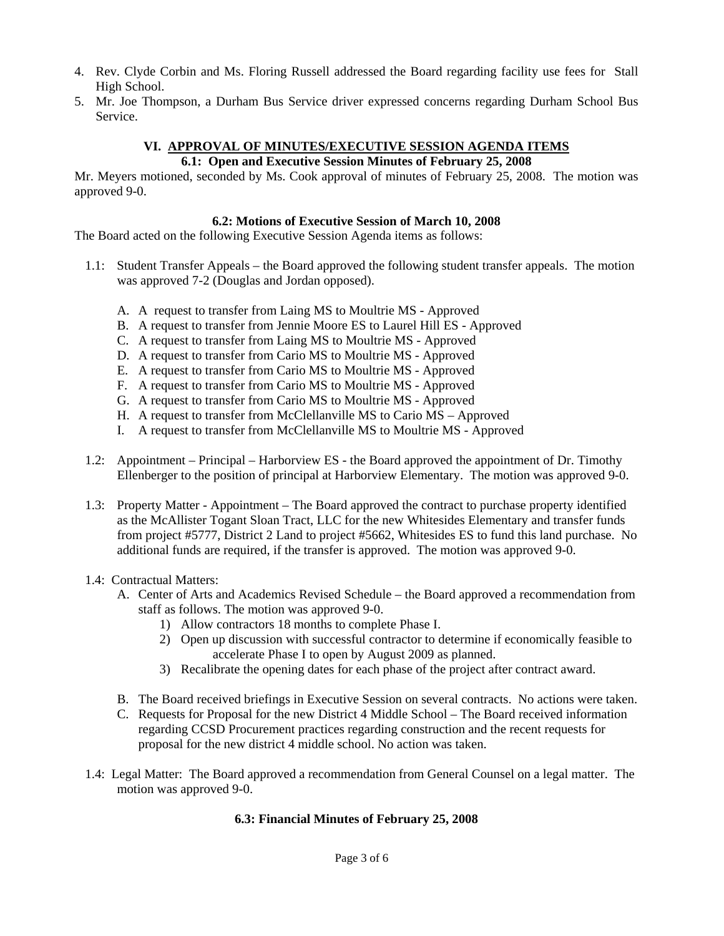- 4. Rev. Clyde Corbin and Ms. Floring Russell addressed the Board regarding facility use fees for Stall High School.
- 5. Mr. Joe Thompson, a Durham Bus Service driver expressed concerns regarding Durham School Bus Service.

### **VI. APPROVAL OF MINUTES/EXECUTIVE SESSION AGENDA ITEMS 6.1: Open and Executive Session Minutes of February 25, 2008**

Mr. Meyers motioned, seconded by Ms. Cook approval of minutes of February 25, 2008. The motion was approved 9-0.

### **6.2: Motions of Executive Session of March 10, 2008**

The Board acted on the following Executive Session Agenda items as follows:

- 1.1: Student Transfer Appeals the Board approved the following student transfer appeals. The motion was approved 7-2 (Douglas and Jordan opposed).
	- A. A request to transfer from Laing MS to Moultrie MS Approved
	- B. A request to transfer from Jennie Moore ES to Laurel Hill ES Approved
	- C. A request to transfer from Laing MS to Moultrie MS Approved
	- D. A request to transfer from Cario MS to Moultrie MS Approved
	- E. A request to transfer from Cario MS to Moultrie MS Approved
	- F. A request to transfer from Cario MS to Moultrie MS Approved
	- G. A request to transfer from Cario MS to Moultrie MS Approved
	- H. A request to transfer from McClellanville MS to Cario MS Approved
	- I. A request to transfer from McClellanville MS to Moultrie MS Approved
- 1.2: Appointment Principal Harborview ES the Board approved the appointment of Dr. Timothy Ellenberger to the position of principal at Harborview Elementary. The motion was approved 9-0.
- 1.3: Property Matter Appointment The Board approved the contract to purchase property identified as the McAllister Togant Sloan Tract, LLC for the new Whitesides Elementary and transfer funds from project #5777, District 2 Land to project #5662, Whitesides ES to fund this land purchase. No additional funds are required, if the transfer is approved. The motion was approved 9-0.

### 1.4: Contractual Matters:

- A. Center of Arts and Academics Revised Schedule the Board approved a recommendation from staff as follows. The motion was approved 9-0.
	- 1) Allow contractors 18 months to complete Phase I.
	- 2) Open up discussion with successful contractor to determine if economically feasible to accelerate Phase I to open by August 2009 as planned.
	- 3) Recalibrate the opening dates for each phase of the project after contract award.
- B. The Board received briefings in Executive Session on several contracts. No actions were taken.
- C. Requests for Proposal for the new District 4 Middle School The Board received information regarding CCSD Procurement practices regarding construction and the recent requests for proposal for the new district 4 middle school. No action was taken.
- 1.4: Legal Matter: The Board approved a recommendation from General Counsel on a legal matter. The motion was approved 9-0.

## **6.3: Financial Minutes of February 25, 2008**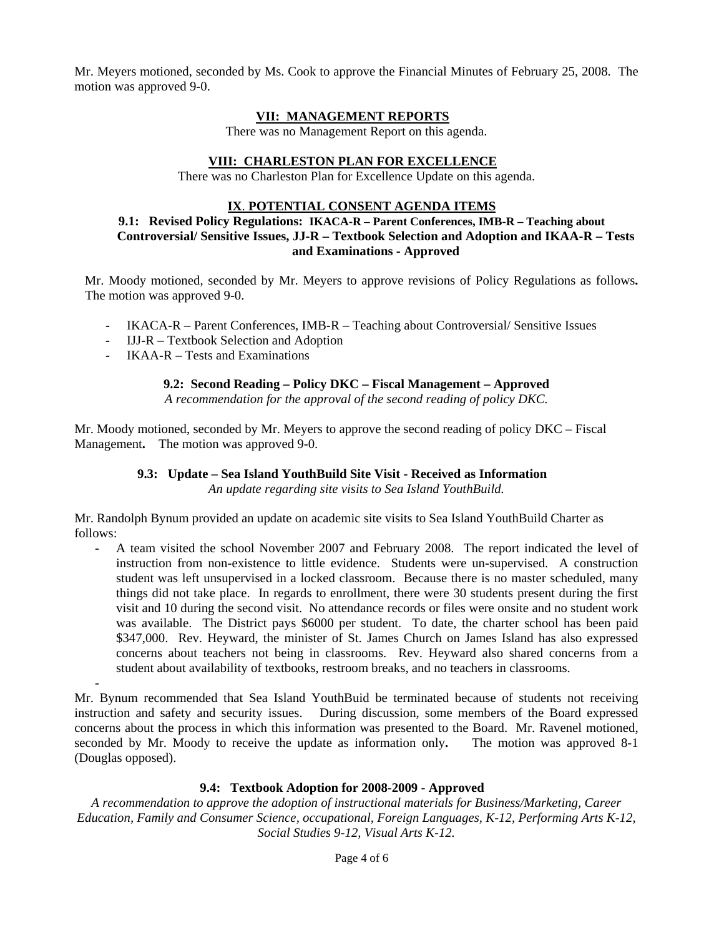Mr. Meyers motioned, seconded by Ms. Cook to approve the Financial Minutes of February 25, 2008. The motion was approved 9-0.

### **VII: MANAGEMENT REPORTS**

There was no Management Report on this agenda.

### **VIII: CHARLESTON PLAN FOR EXCELLENCE**

There was no Charleston Plan for Excellence Update on this agenda.

#### **IX**. **POTENTIAL CONSENT AGENDA ITEMS**

### **9.1: Revised Policy Regulations: IKACA-R – Parent Conferences, IMB-R – Teaching about Controversial/ Sensitive Issues, JJ-R – Textbook Selection and Adoption and IKAA-R – Tests and Examinations - Approved**

Mr. Moody motioned, seconded by Mr. Meyers to approve revisions of Policy Regulations as follows**.** The motion was approved 9-0.

- IKACA-R Parent Conferences, IMB-R Teaching about Controversial/ Sensitive Issues
- IJJ-R Textbook Selection and Adoption
- IKAA-R Tests and Examinations

-

#### **9.2: Second Reading – Policy DKC – Fiscal Management – Approved**

*A recommendation for the approval of the second reading of policy DKC.* 

Mr. Moody motioned, seconded by Mr. Meyers to approve the second reading of policy DKC – Fiscal Management**.** The motion was approved 9-0.

### **9.3: Update – Sea Island YouthBuild Site Visit - Received as Information**

*An update regarding site visits to Sea Island YouthBuild.* 

Mr. Randolph Bynum provided an update on academic site visits to Sea Island YouthBuild Charter as follows:

A team visited the school November 2007 and February 2008. The report indicated the level of instruction from non-existence to little evidence. Students were un-supervised. A construction student was left unsupervised in a locked classroom. Because there is no master scheduled, many things did not take place. In regards to enrollment, there were 30 students present during the first visit and 10 during the second visit. No attendance records or files were onsite and no student work was available. The District pays \$6000 per student. To date, the charter school has been paid \$347,000. Rev. Heyward, the minister of St. James Church on James Island has also expressed concerns about teachers not being in classrooms. Rev. Heyward also shared concerns from a student about availability of textbooks, restroom breaks, and no teachers in classrooms.

Mr. Bynum recommended that Sea Island YouthBuid be terminated because of students not receiving instruction and safety and security issues. During discussion, some members of the Board expressed concerns about the process in which this information was presented to the Board. Mr. Ravenel motioned, seconded by Mr. Moody to receive the update as information only**.** The motion was approved 8-1 (Douglas opposed).

### **9.4: Textbook Adoption for 2008-2009 - Approved**

*A recommendation to approve the adoption of instructional materials for Business/Marketing, Career Education, Family and Consumer Science, occupational, Foreign Languages, K-12, Performing Arts K-12, Social Studies 9-12, Visual Arts K-12.*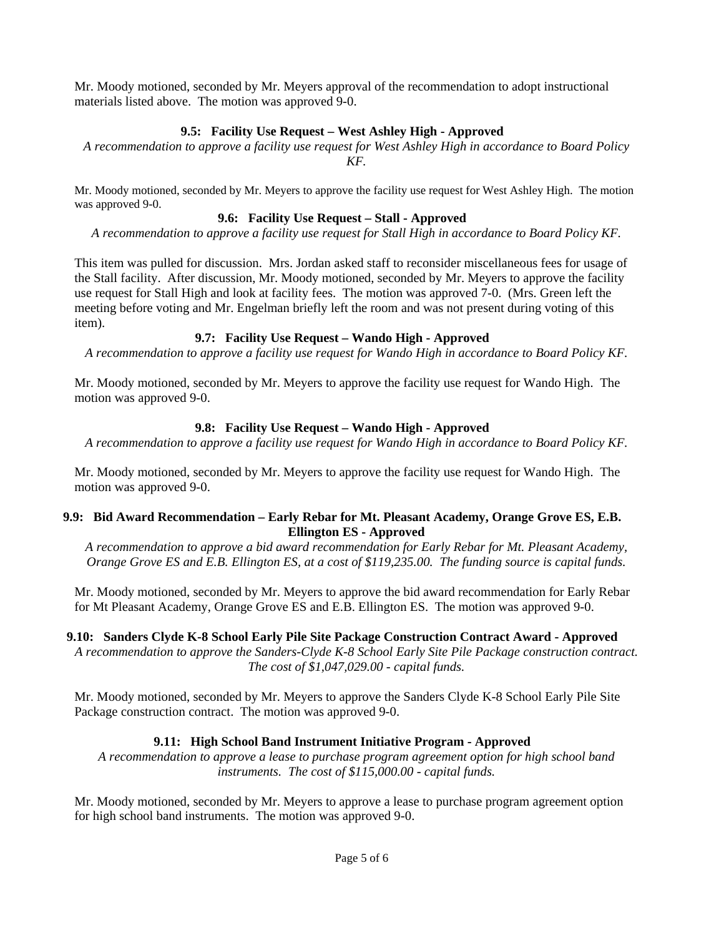Mr. Moody motioned, seconded by Mr. Meyers approval of the recommendation to adopt instructional materials listed above. The motion was approved 9-0.

## **9.5: Facility Use Request – West Ashley High - Approved**

*A recommendation to approve a facility use request for West Ashley High in accordance to Board Policy KF.* 

Mr. Moody motioned, seconded by Mr. Meyers to approve the facility use request for West Ashley High. The motion was approved 9-0.

### **9.6: Facility Use Request – Stall - Approved**

*A recommendation to approve a facility use request for Stall High in accordance to Board Policy KF.* 

This item was pulled for discussion. Mrs. Jordan asked staff to reconsider miscellaneous fees for usage of the Stall facility. After discussion, Mr. Moody motioned, seconded by Mr. Meyers to approve the facility use request for Stall High and look at facility fees. The motion was approved 7-0. (Mrs. Green left the meeting before voting and Mr. Engelman briefly left the room and was not present during voting of this item).

### **9.7: Facility Use Request – Wando High - Approved**

*A recommendation to approve a facility use request for Wando High in accordance to Board Policy KF.* 

Mr. Moody motioned, seconded by Mr. Meyers to approve the facility use request for Wando High. The motion was approved 9-0.

### **9.8: Facility Use Request – Wando High - Approved**

*A recommendation to approve a facility use request for Wando High in accordance to Board Policy KF.* 

Mr. Moody motioned, seconded by Mr. Meyers to approve the facility use request for Wando High. The motion was approved 9-0.

### **9.9: Bid Award Recommendation – Early Rebar for Mt. Pleasant Academy, Orange Grove ES, E.B. Ellington ES - Approved**

*A recommendation to approve a bid award recommendation for Early Rebar for Mt. Pleasant Academy, Orange Grove ES and E.B. Ellington ES, at a cost of \$119,235.00. The funding source is capital funds.* 

Mr. Moody motioned, seconded by Mr. Meyers to approve the bid award recommendation for Early Rebar for Mt Pleasant Academy, Orange Grove ES and E.B. Ellington ES. The motion was approved 9-0.

### **9.10: Sanders Clyde K-8 School Early Pile Site Package Construction Contract Award - Approved**

*A recommendation to approve the Sanders-Clyde K-8 School Early Site Pile Package construction contract. The cost of \$1,047,029.00 - capital funds.* 

Mr. Moody motioned, seconded by Mr. Meyers to approve the Sanders Clyde K-8 School Early Pile Site Package construction contract. The motion was approved 9-0.

## **9.11: High School Band Instrument Initiative Program - Approved**

*A recommendation to approve a lease to purchase program agreement option for high school band instruments. The cost of \$115,000.00 - capital funds.* 

Mr. Moody motioned, seconded by Mr. Meyers to approve a lease to purchase program agreement option for high school band instruments. The motion was approved 9-0.